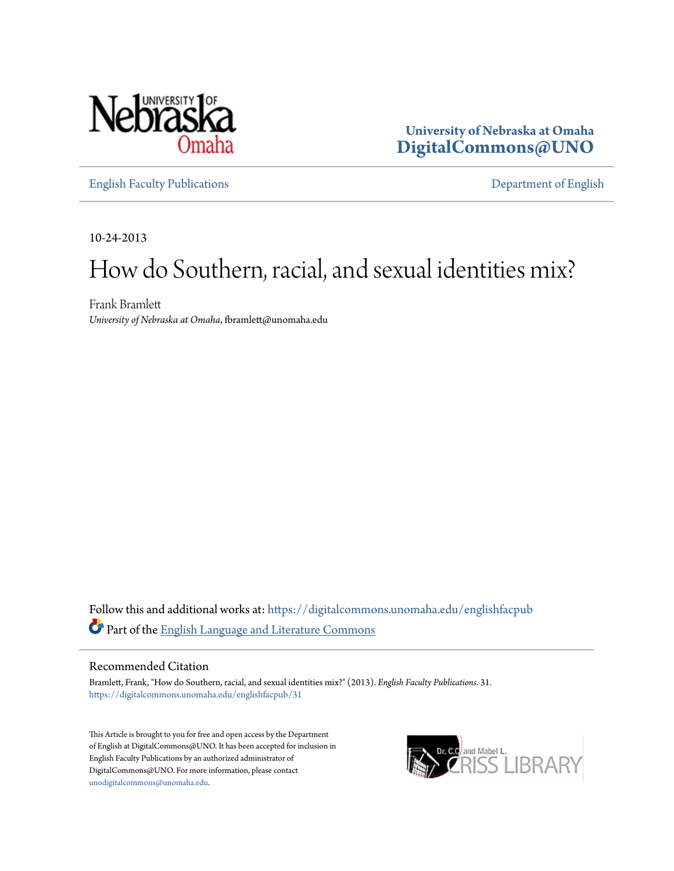

**University of Nebraska at Omaha [DigitalCommons@UNO](https://digitalcommons.unomaha.edu?utm_source=digitalcommons.unomaha.edu%2Fenglishfacpub%2F31&utm_medium=PDF&utm_campaign=PDFCoverPages)**

[English Faculty Publications](https://digitalcommons.unomaha.edu/englishfacpub?utm_source=digitalcommons.unomaha.edu%2Fenglishfacpub%2F31&utm_medium=PDF&utm_campaign=PDFCoverPages) [Department of English](https://digitalcommons.unomaha.edu/english?utm_source=digitalcommons.unomaha.edu%2Fenglishfacpub%2F31&utm_medium=PDF&utm_campaign=PDFCoverPages)

10-24-2013

## How do Southern, racial, and sexual identities mix?

Frank Bramlett *University of Nebraska at Omaha*, fbramlett@unomaha.edu

Follow this and additional works at: [https://digitalcommons.unomaha.edu/englishfacpub](https://digitalcommons.unomaha.edu/englishfacpub?utm_source=digitalcommons.unomaha.edu%2Fenglishfacpub%2F31&utm_medium=PDF&utm_campaign=PDFCoverPages) Part of the [English Language and Literature Commons](http://network.bepress.com/hgg/discipline/455?utm_source=digitalcommons.unomaha.edu%2Fenglishfacpub%2F31&utm_medium=PDF&utm_campaign=PDFCoverPages)

#### Recommended Citation

Bramlett, Frank, "How do Southern, racial, and sexual identities mix?" (2013). *English Faculty Publications*. 31. [https://digitalcommons.unomaha.edu/englishfacpub/31](https://digitalcommons.unomaha.edu/englishfacpub/31?utm_source=digitalcommons.unomaha.edu%2Fenglishfacpub%2F31&utm_medium=PDF&utm_campaign=PDFCoverPages)

This Article is brought to you for free and open access by the Department of English at DigitalCommons@UNO. It has been accepted for inclusion in English Faculty Publications by an authorized administrator of DigitalCommons@UNO. For more information, please contact [unodigitalcommons@unomaha.edu](mailto:unodigitalcommons@unomaha.edu).

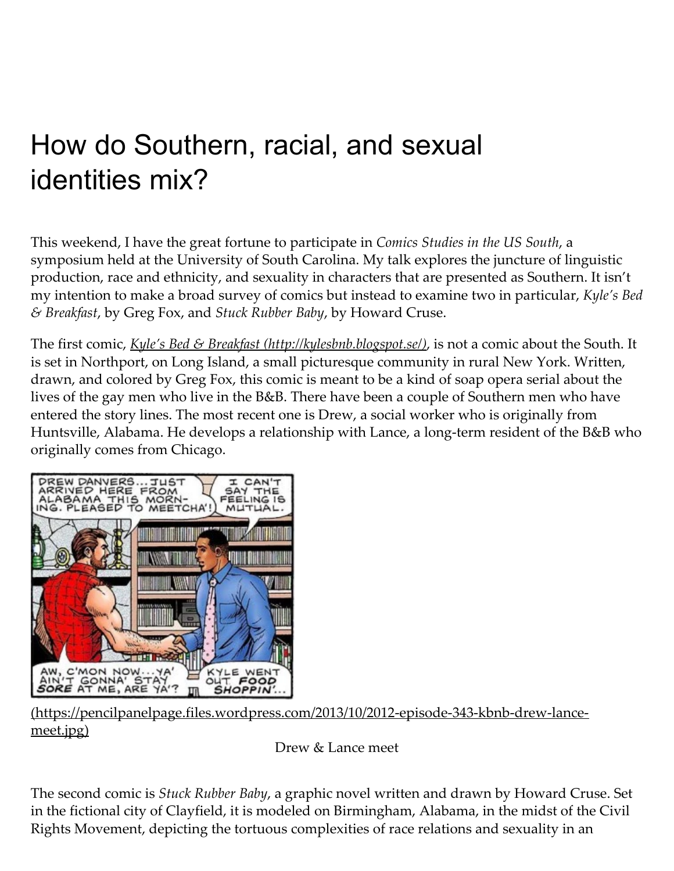# How do Southern, racial, and sexual identities mix?

This weekend, I have the great fortune to participate in Comics Studies in the US South, a symposium held at the University of South Carolina. My talk explores the juncture of linguistic production, race and ethnicity, and sexuality in characters that are presented as Southern. It isn't my intention to make a broad survey of comics but instead to examine two in particular, Kyle's Bed & Breakfast, by Greg Fox, and Stuck Rubber Baby, by Howard Cruse.

The first comic, *Kyle's Bed & Breakfast [\(http://kylesbnb.blogspot.se/\)](http://kylesbnb.blogspot.se/)*, is not a comic about the South. It is set in Northport, on Long Island, a small picturesque community in rural New York. Written, drawn, and colored by Greg Fox, this comic is meant to be a kind of soap opera serial about the lives of the gay men who live in the B&B. There have been a couple of Southern men who have entered the story lines. The most recent one is Drew, a social worker who is originally from Huntsville, Alabama. He develops a relationship with Lance, a long-term resident of the B&B who originally comes from Chicago.



[\(https://pencilpanelpage.files.wordpress.com/2013/10/2012‑episode‑343‑kbnb‑drew‑lance‑](https://pencilpanelpage.files.wordpress.com/2013/10/2012-episode-343-kbnb-drew-lance-meet.jpg) meet.jpg)

Drew & Lance meet

The second comic is Stuck Rubber Baby, a graphic novel written and drawn by Howard Cruse. Set in the fictional city of Clayfield, it is modeled on Birmingham, Alabama, in the midst of the Civil Rights Movement, depicting the tortuous complexities of race relations and sexuality in an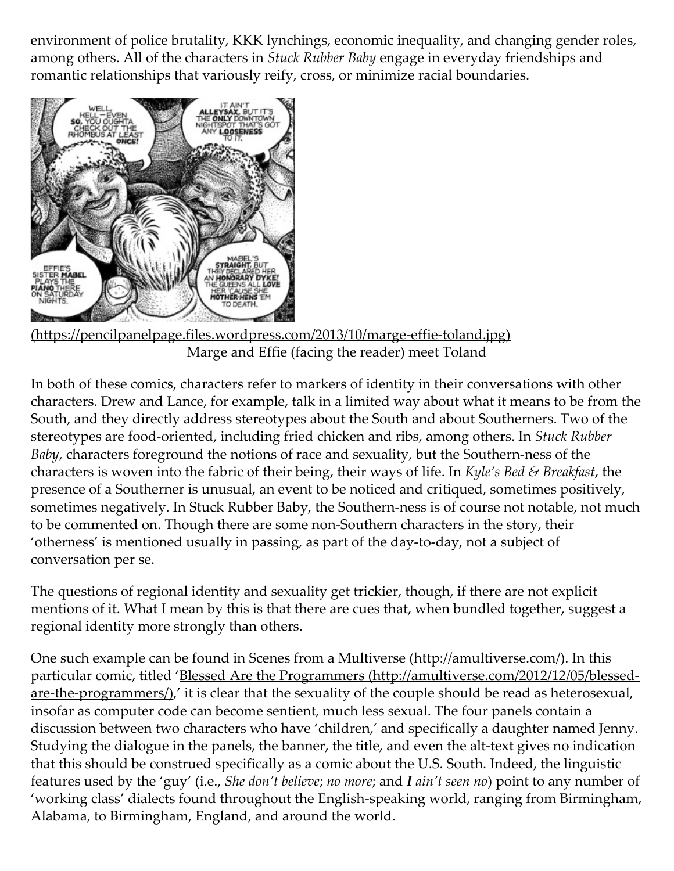environment of police brutality, KKK lynchings, economic inequality, and changing gender roles, among others. All of the characters in Stuck Rubber Baby engage in everyday friendships and romantic relationships that variously reify, cross, or minimize racial boundaries.



[\(https://pencilpanelpage.files.wordpress.com/2013/10/marge‑effie‑toland.jpg\)](https://pencilpanelpage.files.wordpress.com/2013/10/marge-effie-toland.jpg) Marge and Effie (facing the reader) meet Toland

In both of these comics, characters refer to markers of identity in their conversations with other characters. Drew and Lance, for example, talk in a limited way about what it means to be from the South, and they directly address stereotypes about the South and about Southerners. Two of the stereotypes are food-oriented, including fried chicken and ribs, among others. In Stuck Rubber Baby, characters foreground the notions of race and sexuality, but the Southern-ness of the characters is woven into the fabric of their being, their ways of life. In Kyle's Bed & Breakfast, the presence of a Southerner is unusual, an event to be noticed and critiqued, sometimes positively, sometimes negatively. In Stuck Rubber Baby, the Southern-ness is of course not notable, not much to be commented on. Though there are some non‑Southern characters in the story, their 'otherness' is mentioned usually in passing, as part of the day‑to‑day, not a subject of conversation per se.

The questions of regional identity and sexuality get trickier, though, if there are not explicit mentions of it. What I mean by this is that there are cues that, when bundled together, suggest a regional identity more strongly than others.

One such example can be found in Scenes from a Multiverse [\(http://amultiverse.com/\)](http://amultiverse.com/). In this particular comic, titled 'Blessed Are the Programmers (http://amultiverse.com/2012/12/05/blessed $are$ -the-programmers $\Delta'$ , it is clear that the sexuality of the couple should be read as heterosexual, insofar as computer code can become sentient, much less sexual. The four panels contain a discussion between two characters who have 'children,' and specifically a daughter named Jenny. Studying the dialogue in the panels, the banner, the title, and even the alt‑text gives no indication that this should be construed specifically as a comic about the U.S. South. Indeed, the linguistic features used by the 'guy' (i.e., She don't believe; no more; and I ain't seen no) point to any number of 'working class' dialects found throughout the English‑speaking world, ranging from Birmingham, Alabama, to Birmingham, England, and around the world.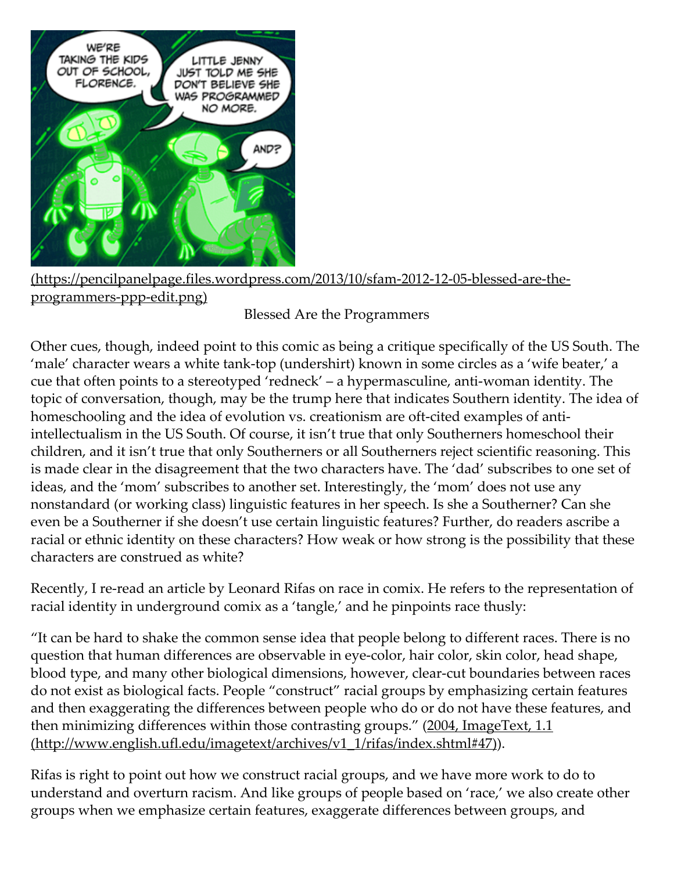

[\(https://pencilpanelpage.files.wordpress.com/2013/10/sfam‑2012‑12‑05‑blessed‑are‑the‑](https://pencilpanelpage.files.wordpress.com/2013/10/sfam-2012-12-05-blessed-are-the-programmers-ppp-edit.png) programmers‑ppp‑edit.png)

### Blessed Are the Programmers

Other cues, though, indeed point to this comic as being a critique specifically of the US South. The 'male' character wears a white tank‑top (undershirt) known in some circles as a 'wife beater,' a cue that often points to a stereotyped 'redneck' – a hypermasculine, anti-woman identity. The topic of conversation, though, may be the trump here that indicates Southern identity. The idea of homeschooling and the idea of evolution vs. creationism are oft-cited examples of antiintellectualism in the US South. Of course, it isn't true that only Southerners homeschool their children, and it isn't true that only Southerners or all Southerners reject scientific reasoning. This is made clear in the disagreement that the two characters have. The 'dad' subscribes to one set of ideas, and the 'mom' subscribes to another set. Interestingly, the 'mom' does not use any nonstandard (or working class) linguistic features in her speech. Is she a Southerner? Can she even be a Southerner if she doesn't use certain linguistic features? Further, do readers ascribe a racial or ethnic identity on these characters? How weak or how strong is the possibility that these characters are construed as white?

Recently, I re-read an article by Leonard Rifas on race in comix. He refers to the representation of racial identity in underground comix as a 'tangle,' and he pinpoints race thusly:

"It can be hard to shake the common sense idea that people belong to different races. There is no question that human differences are observable in eye‑color, hair color, skin color, head shape, blood type, and many other biological dimensions, however, clear-cut boundaries between races do not exist as biological facts. People "construct" racial groups by emphasizing certain features and then exaggerating the differences between people who do or do not have these features, and then minimizing differences within those contrasting groups." (2004, ImageText, 1.1) [\(http://www.english.ufl.edu/imagetext/archives/v1\\_1/rifas/index.shtml#47\)\).](http://www.english.ufl.edu/imagetext/archives/v1_1/rifas/index.shtml#47)

Rifas is right to point out how we construct racial groups, and we have more work to do to understand and overturn racism. And like groups of people based on 'race,' we also create other groups when we emphasize certain features, exaggerate differences between groups, and